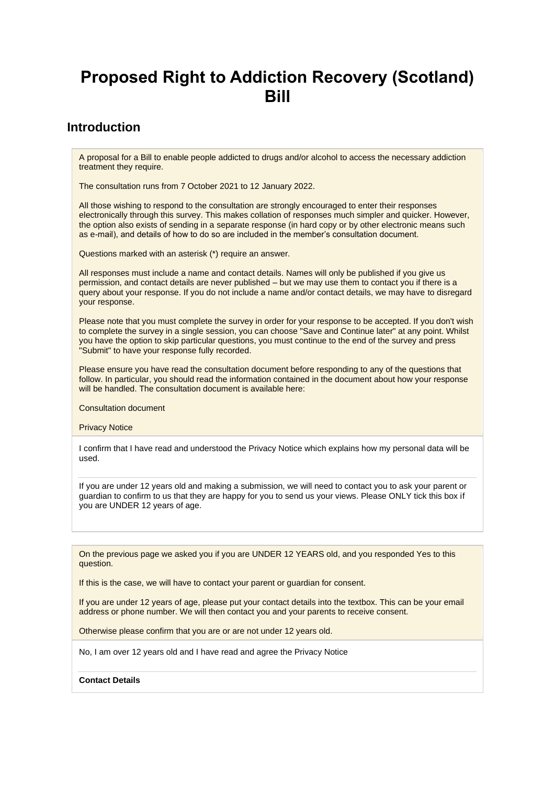# **Proposed Right to Addiction Recovery (Scotland) Bill**

# **Introduction**

A proposal for a Bill to enable people addicted to drugs and/or alcohol to access the necessary addiction treatment they require.

The consultation runs from 7 October 2021 to 12 January 2022.

All those wishing to respond to the consultation are strongly encouraged to enter their responses electronically through this survey. This makes collation of responses much simpler and quicker. However, the option also exists of sending in a separate response (in hard copy or by other electronic means such as e-mail), and details of how to do so are included in the member's consultation document.

Questions marked with an asterisk (\*) require an answer.

All responses must include a name and contact details. Names will only be published if you give us permission, and contact details are never published – but we may use them to contact you if there is a query about your response. If you do not include a name and/or contact details, we may have to disregard your response.

Please note that you must complete the survey in order for your response to be accepted. If you don't wish to complete the survey in a single session, you can choose "Save and Continue later" at any point. Whilst you have the option to skip particular questions, you must continue to the end of the survey and press "Submit" to have your response fully recorded.

Please ensure you have read the consultation document before responding to any of the questions that follow. In particular, you should read the information contained in the document about how your response will be handled. The consultation document is available here:

Consultation document

Privacy Notice

I confirm that I have read and understood the Privacy Notice which explains how my personal data will be used.

If you are under 12 years old and making a submission, we will need to contact you to ask your parent or guardian to confirm to us that they are happy for you to send us your views. Please ONLY tick this box if you are UNDER 12 years of age.

On the previous page we asked you if you are UNDER 12 YEARS old, and you responded Yes to this question.

If this is the case, we will have to contact your parent or guardian for consent.

If you are under 12 years of age, please put your contact details into the textbox. This can be your email address or phone number. We will then contact you and your parents to receive consent.

Otherwise please confirm that you are or are not under 12 years old.

No, I am over 12 years old and I have read and agree the Privacy Notice

**Contact Details**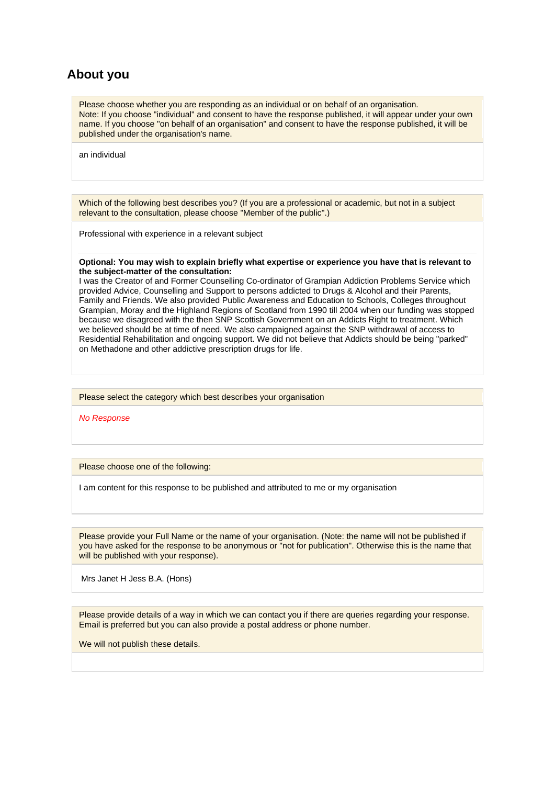# **About you**

Please choose whether you are responding as an individual or on behalf of an organisation. Note: If you choose "individual" and consent to have the response published, it will appear under your own name. If you choose "on behalf of an organisation" and consent to have the response published, it will be published under the organisation's name.

an individual

Which of the following best describes you? (If you are a professional or academic, but not in a subject relevant to the consultation, please choose "Member of the public".)

Professional with experience in a relevant subject

#### **Optional: You may wish to explain briefly what expertise or experience you have that is relevant to the subject-matter of the consultation:**

I was the Creator of and Former Counselling Co-ordinator of Grampian Addiction Problems Service which provided Advice, Counselling and Support to persons addicted to Drugs & Alcohol and their Parents, Family and Friends. We also provided Public Awareness and Education to Schools, Colleges throughout Grampian, Moray and the Highland Regions of Scotland from 1990 till 2004 when our funding was stopped because we disagreed with the then SNP Scottish Government on an Addicts Right to treatment. Which we believed should be at time of need. We also campaigned against the SNP withdrawal of access to Residential Rehabilitation and ongoing support. We did not believe that Addicts should be being "parked" on Methadone and other addictive prescription drugs for life.

Please select the category which best describes your organisation

*No Response*

Please choose one of the following:

I am content for this response to be published and attributed to me or my organisation

Please provide your Full Name or the name of your organisation. (Note: the name will not be published if you have asked for the response to be anonymous or "not for publication". Otherwise this is the name that will be published with your response).

Mrs Janet H Jess B.A. (Hons)

Please provide details of a way in which we can contact you if there are queries regarding your response. Email is preferred but you can also provide a postal address or phone number.

We will not publish these details.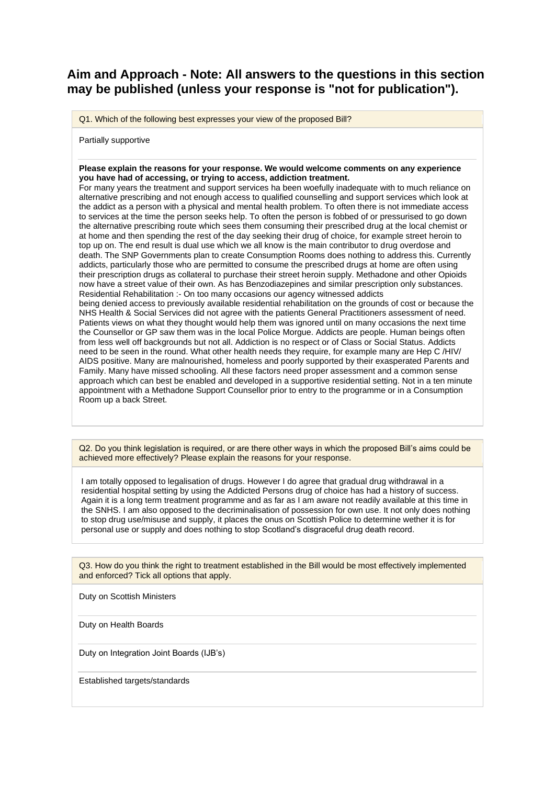# **Aim and Approach - Note: All answers to the questions in this section may be published (unless your response is "not for publication").**

Q1. Which of the following best expresses your view of the proposed Bill?

Partially supportive

#### **Please explain the reasons for your response. We would welcome comments on any experience you have had of accessing, or trying to access, addiction treatment.**

For many years the treatment and support services ha been woefully inadequate with to much reliance on alternative prescribing and not enough access to qualified counselling and support services which look at the addict as a person with a physical and mental health problem. To often there is not immediate access to services at the time the person seeks help. To often the person is fobbed of or pressurised to go down the alternative prescribing route which sees them consuming their prescribed drug at the local chemist or at home and then spending the rest of the day seeking their drug of choice, for example street heroin to top up on. The end result is dual use which we all know is the main contributor to drug overdose and death. The SNP Governments plan to create Consumption Rooms does nothing to address this. Currently addicts, particularly those who are permitted to consume the prescribed drugs at home are often using their prescription drugs as collateral to purchase their street heroin supply. Methadone and other Opioids now have a street value of their own. As has Benzodiazepines and similar prescription only substances. Residential Rehabilitation :- On too many occasions our agency witnessed addicts being denied access to previously available residential rehabilitation on the grounds of cost or because the NHS Health & Social Services did not agree with the patients General Practitioners assessment of need. Patients views on what they thought would help them was ignored until on many occasions the next time the Counsellor or GP saw them was in the local Police Morgue. Addicts are people. Human beings often from less well off backgrounds but not all. Addiction is no respect or of Class or Social Status. Addicts need to be seen in the round. What other health needs they require, for example many are Hep C /HIV/ AIDS positive. Many are malnourished, homeless and poorly supported by their exasperated Parents and Family. Many have missed schooling. All these factors need proper assessment and a common sense approach which can best be enabled and developed in a supportive residential setting. Not in a ten minute appointment with a Methadone Support Counsellor prior to entry to the programme or in a Consumption Room up a back Street.

Q2. Do you think legislation is required, or are there other ways in which the proposed Bill's aims could be achieved more effectively? Please explain the reasons for your response.

I am totally opposed to legalisation of drugs. However I do agree that gradual drug withdrawal in a residential hospital setting by using the Addicted Persons drug of choice has had a history of success. Again it is a long term treatment programme and as far as I am aware not readily available at this time in the SNHS. I am also opposed to the decriminalisation of possession for own use. It not only does nothing to stop drug use/misuse and supply, it places the onus on Scottish Police to determine wether it is for personal use or supply and does nothing to stop Scotland's disgraceful drug death record.

Q3. How do you think the right to treatment established in the Bill would be most effectively implemented and enforced? Tick all options that apply.

Duty on Scottish Ministers

Duty on Health Boards

Duty on Integration Joint Boards (IJB's)

Established targets/standards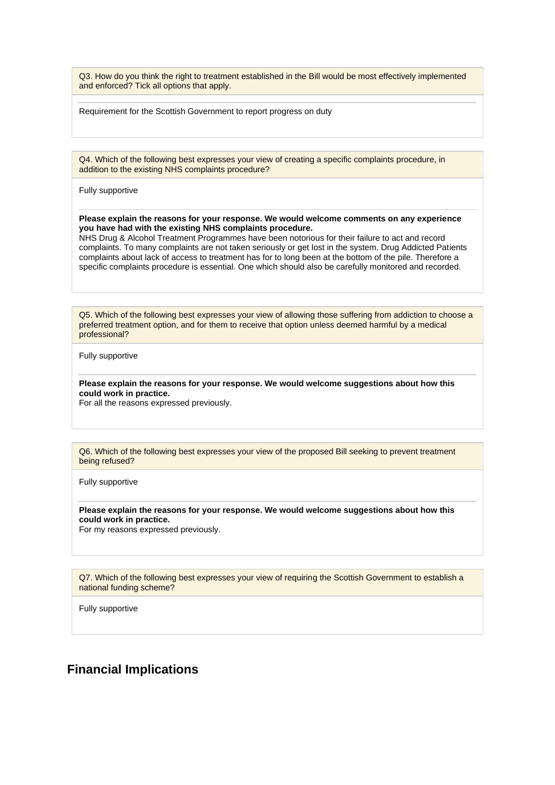Q3. How do you think the right to treatment established in the Bill would be most effectively implemented and enforced? Tick all options that apply.

Requirement for the Scottish Government to report progress on duty

Q4. Which of the following best expresses your view of creating a specific complaints procedure, in addition to the existing NHS complaints procedure?

Fully supportive

#### **Please explain the reasons for your response. We would welcome comments on any experience you have had with the existing NHS complaints procedure.**

NHS Drug & Alcohol Treatment Programmes have been notorious for their failure to act and record complaints. To many complaints are not taken seriously or get lost in the system. Drug Addicted Patients complaints about lack of access to treatment has for to long been at the bottom of the pile. Therefore a specific complaints procedure is essential. One which should also be carefully monitored and recorded.

Q5. Which of the following best expresses your view of allowing those suffering from addiction to choose a preferred treatment option, and for them to receive that option unless deemed harmful by a medical professional?

Fully supportive

**Please explain the reasons for your response. We would welcome suggestions about how this could work in practice.**

For all the reasons expressed previously.

Q6. Which of the following best expresses your view of the proposed Bill seeking to prevent treatment being refused?

Fully supportive

**Please explain the reasons for your response. We would welcome suggestions about how this could work in practice.**

For my reasons expressed previously.

Q7. Which of the following best expresses your view of requiring the Scottish Government to establish a national funding scheme?

Fully supportive

### **Financial Implications**